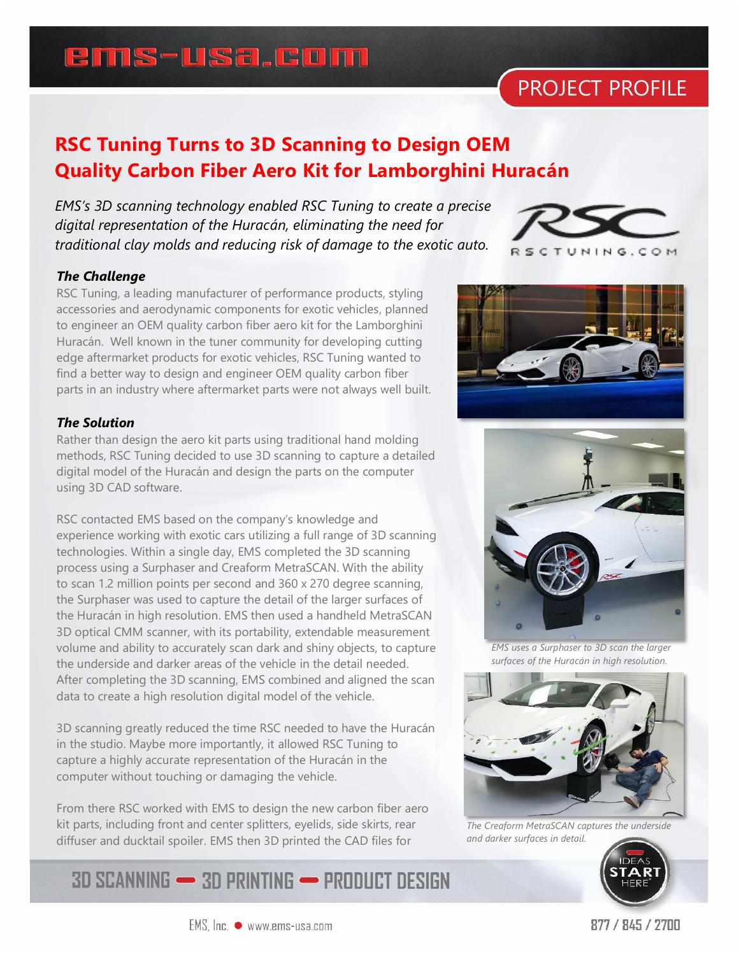# **ems-usa.com**

# PROJECT PROFILE

### **RSC Tuning Turns to 3D Scanning to Design OEM Quality Carbon Fiber Aero Kit for Lamborghini Huracán**

*EMS's 3D scanning technology enabled RSC Tuning to create a precise digital representation of the Huracán, eliminating the need for traditional clay molds and reducing risk of damage to the exotic auto.* 



### *The Challenge*

RSC Tuning, a leading manufacturer of performance products, styling accessories and aerodynamic components for exotic vehicles, planned to engineer an OEM quality carbon fiber aero kit for the Lamborghini Huracán. Well known in the tuner community for developing cutting edge aftermarket products for exotic vehicles, RSC Tuning wanted to find a better way to design and engineer OEM quality carbon fiber parts in an industry where aftermarket parts were not always well built.

#### *The Solution*

Rather than design the aero kit parts using traditional hand molding methods, RSC Tuning decided to use 3D scanning to capture a detailed digital model of the Huracán and design the parts on the computer using 3D CAD software.

RSC contacted EMS based on the company's knowledge and experience working with exotic cars utilizing a full range of 3D scanning technologies. Within a single day, EMS completed the 3D scanning process using a Surphaser and Creaform MetraSCAN. With the ability to scan 1.2 million points per second and 360 x 270 degree scanning, the Surphaser was used to capture the detail of the larger surfaces of the Huracán in high resolution. EMS then used a handheld MetraSCAN 3D optical CMM scanner, with its portability, extendable measurement volume and ability to accurately scan dark and shiny objects, to capture the underside and darker areas of the vehicle in the detail needed. After completing the 3D scanning, EMS combined and aligned the scan data to create a high resolution digital model of the vehicle.

3D scanning greatly reduced the time RSC needed to have the Huracán in the studio. Maybe more importantly, it allowed RSC Tuning to capture a highly accurate representation of the Huracán in the computer without touching or damaging the vehicle.

From there RSC worked with EMS to design the new carbon fiber aero kit parts, including front and center splitters, eyelids, side skirts, rear diffuser and ducktail spoiler. EMS then 3D printed the CAD files for

### **3D SCANNING - 3D PRINTING - PRODUCT DESIGN**





*EMS uses a Surphaser to 3D scan the larger surfaces of the Huracán in high resolution.*



*The Creaform MetraSCAN captures the underside and darker surfaces in detail.*